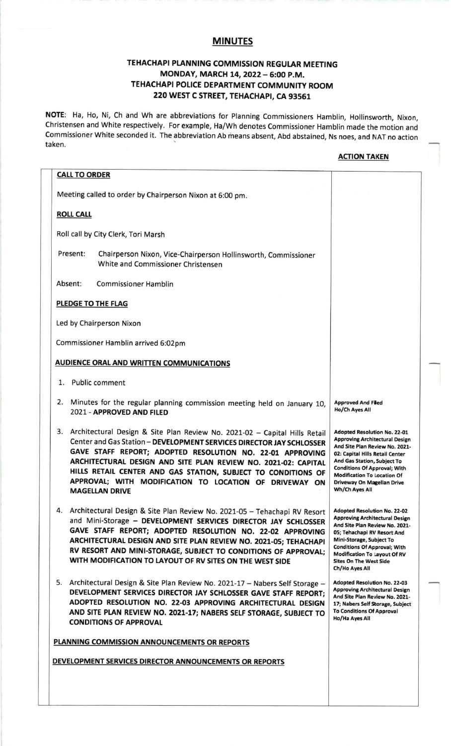## MINUTES

# TEHACHAPI PLANNING COMMISSION REGULAR MEETING MONDAY, MARCH 14, 2022 - 6:00 P.M. TEHACHAPI POLICE DEPARTMENT COMMUNITY ROOM 220 WEST C STREET, TEHACHAPI, CA 93561

NOTE: Ha, Ho, Ni, Ch and Wh are abbreviations for Planning Commissioners Hamblin, Hollinsworth, Nixon, Christensen and White respectively. For example, Ha/ Wh denotes Commissioner Hamblin made the motion and Commissioner White seconded it. The abbreviation Ab means absent, Abd abstained, Ns noes, and NAT no action taken.

### **ACTION TAKEN**

| <b>CALL TO ORDER</b>                                                                                                                                                                                                                                                                                                                                                                                                                     |                                                                                                                                                                                                                                                                                                               |
|------------------------------------------------------------------------------------------------------------------------------------------------------------------------------------------------------------------------------------------------------------------------------------------------------------------------------------------------------------------------------------------------------------------------------------------|---------------------------------------------------------------------------------------------------------------------------------------------------------------------------------------------------------------------------------------------------------------------------------------------------------------|
| Meeting called to order by Chairperson Nixon at 6:00 pm.                                                                                                                                                                                                                                                                                                                                                                                 |                                                                                                                                                                                                                                                                                                               |
| <b>ROLL CALL</b>                                                                                                                                                                                                                                                                                                                                                                                                                         |                                                                                                                                                                                                                                                                                                               |
| Roll call by City Clerk, Tori Marsh                                                                                                                                                                                                                                                                                                                                                                                                      |                                                                                                                                                                                                                                                                                                               |
| Present:<br>Chairperson Nixon, Vice-Chairperson Hollinsworth, Commissioner<br>White and Commissioner Christensen                                                                                                                                                                                                                                                                                                                         |                                                                                                                                                                                                                                                                                                               |
| Absent:<br><b>Commissioner Hamblin</b>                                                                                                                                                                                                                                                                                                                                                                                                   |                                                                                                                                                                                                                                                                                                               |
| PLEDGE TO THE FLAG                                                                                                                                                                                                                                                                                                                                                                                                                       |                                                                                                                                                                                                                                                                                                               |
| Led by Chairperson Nixon                                                                                                                                                                                                                                                                                                                                                                                                                 |                                                                                                                                                                                                                                                                                                               |
| Commissioner Hamblin arrived 6:02pm                                                                                                                                                                                                                                                                                                                                                                                                      |                                                                                                                                                                                                                                                                                                               |
| <b>AUDIENCE ORAL AND WRITTEN COMMUNICATIONS</b>                                                                                                                                                                                                                                                                                                                                                                                          |                                                                                                                                                                                                                                                                                                               |
| 1. Public comment                                                                                                                                                                                                                                                                                                                                                                                                                        |                                                                                                                                                                                                                                                                                                               |
| 2.<br>Minutes for the regular planning commission meeting held on January 10,<br>2021 - APPROVED AND FILED                                                                                                                                                                                                                                                                                                                               | <b>Approved And Filed</b><br>Ho/Ch Ayes All                                                                                                                                                                                                                                                                   |
| 3. Architectural Design & Site Plan Review No. 2021-02 - Capital Hills Retail<br>Center and Gas Station - DEVELOPMENT SERVICES DIRECTOR JAY SCHLOSSER<br>GAVE STAFF REPORT; ADOPTED RESOLUTION NO. 22-01 APPROVING<br>ARCHITECTURAL DESIGN AND SITE PLAN REVIEW NO. 2021-02: CAPITAL<br>HILLS RETAIL CENTER AND GAS STATION, SUBJECT TO CONDITIONS OF<br>APPROVAL; WITH MODIFICATION TO LOCATION OF DRIVEWAY ON<br><b>MAGELLAN DRIVE</b> | <b>Adopted Resolution No. 22-01</b><br><b>Approving Architectural Design</b><br>And Site Plan Review No. 2021-<br>02: Capital Hills Retail Center<br>And Gas Station, Subject To<br><b>Conditions Of Approval; With</b><br><b>Modification To Location Of</b><br>Driveway On Magellan Drive<br>Wh/Ch Ayes All |
| 4. Architectural Design & Site Plan Review No. 2021-05 - Tehachapi RV Resort<br>and Mini-Storage - DEVELOPMENT SERVICES DIRECTOR JAY SCHLOSSER<br>GAVE STAFF REPORT; ADOPTED RESOLUTION NO. 22-02 APPROVING<br>ARCHITECTURAL DESIGN AND SITE PLAN REVIEW NO. 2021-05; TEHACHAPI<br>RV RESORT AND MINI-STORAGE, SUBJECT TO CONDITIONS OF APPROVAL;<br>WITH MODIFICATION TO LAYOUT OF RV SITES ON THE WEST SIDE                            | <b>Adopted Resolution No. 22-02</b><br><b>Approving Architectural Design</b><br>And Site Plan Review No. 2021-<br>05; Tehachapi RV Resort And<br>Mini-Storage, Subject To<br><b>Conditions Of Approval; With</b><br>Modification To Layout Of RV<br><b>Sites On The West Side</b><br>Ch/Ho Ayes All           |
| 5. Architectural Design & Site Plan Review No. 2021-17 - Nabers Self Storage -<br>DEVELOPMENT SERVICES DIRECTOR JAY SCHLOSSER GAVE STAFF REPORT;<br>ADOPTED RESOLUTION NO. 22-03 APPROVING ARCHITECTURAL DESIGN<br>AND SITE PLAN REVIEW NO. 2021-17; NABERS SELF STORAGE, SUBJECT TO<br><b>CONDITIONS OF APPROVAL</b>                                                                                                                    | Adopted Resolution No. 22-03<br><b>Approving Architectural Design</b><br>And Site Plan Review No. 2021-<br>17; Nabers Self Storage, Subject<br><b>To Conditions Of Approval</b><br>Ho/Ha Ayes All                                                                                                             |
| PLANNING COMMISSION ANNOUNCEMENTS OR REPORTS                                                                                                                                                                                                                                                                                                                                                                                             |                                                                                                                                                                                                                                                                                                               |
| <b>DEVELOPMENT SERVICES DIRECTOR ANNOUNCEMENTS OR REPORTS</b>                                                                                                                                                                                                                                                                                                                                                                            |                                                                                                                                                                                                                                                                                                               |
|                                                                                                                                                                                                                                                                                                                                                                                                                                          |                                                                                                                                                                                                                                                                                                               |
|                                                                                                                                                                                                                                                                                                                                                                                                                                          |                                                                                                                                                                                                                                                                                                               |